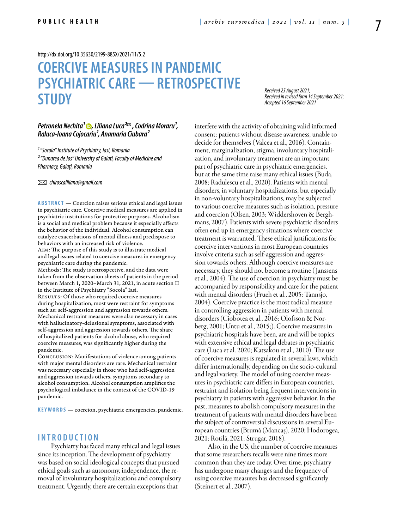<http://dx.doi.org/10.35630/2199-885X/2021/11/5.2>

# **COERCIVE MEASURES IN PANDEMIC PSYCHIATRIC CARE — RETROSPECTIVE STUDY**

*Received 25 August 2021; Received in revised form 14 September 2021; Accepted 16 September 2021*

# *[Petronela Nechita](https://orcid.org/0000-0002-1059-7686)<sup>1</sup>* **.** *Liliana Luca<sup>2∞</sup>, Codrina Moraru<sup>1</sup>*, *Raluca-Ioana Cojocariu¹, Anamaria Ciubara²*

*¹ "Socola" Institute of Psychiatry, Iasi, Romania ² "Dunarea de Jos" University of Galati, Faculty of Medicine and Pharmacy, Galați, Romania*

 *chiroscaliliana@gmail.com*

**ABSTRACT** — Coercion raises serious ethical and legal issues in psychiatric care. Coercive medical measures are applied in psychiatric institutions for protective purposes. Alcoholism is a social and medical problem because it especially affects the behavior of the individual. Alcohol consumption can catalyze exacerbations of mental illness and predispose to behaviors with an increased risk of violence.

Aim: The purpose of this study is to illustrate medical and legal issues related to coercive measures in emergency psychiatric care during the pandemic.

Methods: The study is retrospective, and the data were taken from the observation sheets of patients in the period between March 1, 2020–March 31, 2021, in acute section II in the Institute of Psychiatry "Socola" Iasi. RESULTS: Of those who required coercive measures during hospitalization, most were restraint for symptoms such as: self-aggression and aggression towards others. Mechanical restraint measures were also necessary in cases with hallucinatory-delusional symptoms, associated with self-aggression and aggression towards others. The share of hospitalized patients for alcohol abuse, who required coercive measures, was significantly higher during the

Conclusion: Manifestations of violence among patients with major mental disorders are rare. Mechanical restraint was necessary especially in those who had self-aggression and aggression towards others, symptoms secondary to alcohol consumption. Alcohol consumption amplifies the psychological imbalance in the context of the COVID-19 pandemic.

**KEYWORDS** — coercion, psychiatric emergencies, pandemic.

# **I n t r o d uct i o n**

pandemic.

Psychiatry has faced many ethical and legal issues since its inception. The development of psychiatry was based on social ideological concepts that pursued ethical goals such as autonomy, independence, the removal of involuntary hospitalizations and compulsory treatment. Urgently, there are certain exceptions that

interfere with the activity of obtaining valid informed consent: patients without disease awareness, unable to decide for themselves (Valcea et al., 2016). Containment, marginalization, stigma, involuntary hospitalization, and involuntary treatment are an important part of psychiatric care in psychiatric emergencies, but at the same time raise many ethical issues (Buda, 2008; Radulescu et al., 2020). Patients with mental disorders, in voluntary hospitalizations, but especially in non-voluntary hospitalizations, may be subjected to various coercive measures such as isolation, pressure and coercion (Olsen, 2003; Widdershoven & Berghmans, 2007). Patients with severe psychiatric disorders often end up in emergency situations where coercive treatment is warranted. These ethical justifications for coercive interventions in most European countries involve criteria such as self-aggression and aggression towards others. Although coercive measures are necessary, they should not become a routine ( Janssens et al., 2004). The use of coercion in psychiatry must be accompanied by responsibility and care for the patient with mental disorders (Frueh et al., 2005; Tannsjo, 2004). Coercive practice is the most radical measure in controlling aggression in patients with mental disorders (Ciobotea et al., 2016; Olofsson & Norberg, 2001; Untu et al., 2015;). Coercive measures in psychiatric hospitals have been, are and will be topics with extensive ethical and legal debates in psychiatric care (Luca et al. 2020; Katsakou et al., 2010). The use of coercive measures is regulated in several laws, which differ internationally, depending on the socio-cultural and legal variety. The model of using coercive measures in psychiatric care differs in European countries, restraint and isolation being frequent interventions in psychiatry in patients with aggressive behavior. In the past, measures to abolish compulsory measures in the treatment of patients with mental disorders have been the subject of controversial discussions in several European countries (Brumă (Mancaș), 2020; Hodorogea, 2021; Rotilă, 2021; Strugar, 2018).

Also, in the US, the number of coercive measures that some researchers recalls were nine times more common than they are today. Over time, psychiatry has undergone many changes and the frequency of using coercive measures has decreased significantly (Steinert et al., 2007).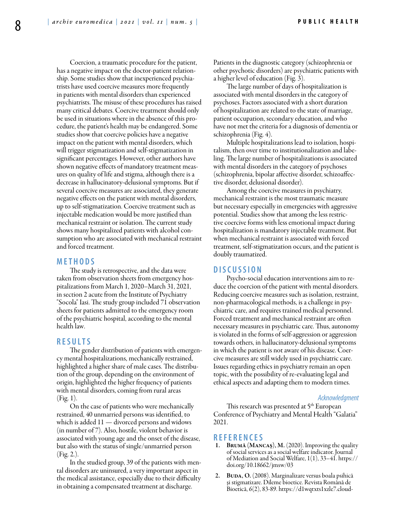Coercion, a traumatic procedure for the patient, has a negative impact on the doctor-patient relationship. Some studies show that inexperienced psychiatrists have used coercive measures more frequently in patients with mental disorders than experienced psychiatrists. The misuse of these procedures has raised many critical debates. Coercive treatment should only be used in situations where in the absence of this procedure, the patient's health may be endangered. Some studies show that coercive policies have a negative impact on the patient with mental disorders, which will trigger stigmatization and self-stigmatization in significant percentages. However, other authors have shown negative effects of mandatory treatment measures on quality of life and stigma, although there is a decrease in hallucinatory-delusional symptoms. But if several coercive measures are associated, they generate negative effects on the patient with mental disorders, up to self-stigmatization. Coercive treatment such as injectable medication would be more justified than mechanical restraint or isolation. The current study shows many hospitalized patients with alcohol consumption who are associated with mechanical restraint and forced treatment.

# **MET H ODS**

The study is retrospective, and the data were taken from observation sheets from emergency hospitalizations from March 1, 2020–March 31, 2021, in section 2 acute from the Institute of Psychiatry "Socola" Iasi. The study group included 71 observation sheets for patients admitted to the emergency room of the psychiatric hospital, according to the mental health law.

# **RES U LTS**

The gender distribution of patients with emergency mental hospitalizations, mechanically restrained, highlighted a higher share of male cases. The distribution of the group, depending on the environment of origin, highlighted the higher frequency of patients with mental disorders, coming from rural areas (Fig. 1).

On the case of patients who were mechanically restrained, 40 unmarried persons was identified, to which is added 11 — divorced persons and widows (in number of 7). Also, hostile, violent behavior is associated with young age and the onset of the disease, but also with the status of single/unmarried person (Fig. 2.).

In the studied group, 39 of the patients with mental disorders are uninsured, a very important aspect in the medical assistance, especially due to their difficulty in obtaining a compensated treatment at discharge.

Patients in the diagnostic category (schizophrenia or other psychotic disorders) are psychiatric patients with a higher level of education (Fig. 3).

The large number of days of hospitalization is associated with mental disorders in the category of psychoses. Factors associated with a short duration of hospitalization are related to the state of marriage, patient occupation, secondary education, and who have not met the criteria for a diagnosis of dementia or schizophrenia (Fig. 4).

Multiple hospitalizations lead to isolation, hospitalism, then over time to institutionalization and labeling. The large number of hospitalizations is associated with mental disorders in the category of psychoses (schizophrenia, bipolar affective disorder, schizoaffective disorder, delusional disorder).

Among the coercive measures in psychiatry, mechanical restraint is the most traumatic measure but necessary especially in emergencies with aggressive potential. Studies show that among the less restrictive coercive forms with less emotional impact during hospitalization is mandatory injectable treatment. But when mechanical restraint is associated with forced treatment, self-stigmatization occurs, and the patient is doubly traumatized.

### **DISC U SSION**

Psycho-social education interventions aim to reduce the coercion of the patient with mental disorders. Reducing coercive measures such as isolation, restraint, non-pharmacological methods, is a challenge in psychiatric care, and requires trained medical personnel. Forced treatment and mechanical restraint are often necessary measures in psychiatric care. Thus, autonomy is violated in the forms of self-aggression or aggression towards others, in hallucinatory-delusional symptoms in which the patient is not aware of his disease. Coercive measures are still widely used in psychiatric care. Issues regarding ethics in psychiatry remain an open topic, with the possibility of re-evaluating legal and ethical aspects and adapting them to modern times.

#### *Acknowledgment*

This research was presented at 5<sup>th</sup> European Conference of Psychiatry and Mental Health "Galatia" 2021.

# **REFEREN CES**

- BRUMĂ (MANCAŞ), M. (2020). Improving the quality of social services as a social welfare indicator. Journal of Mediation and Social Welfare, 1(1), 33–41. https:// doi.org/10.18662/jmsw/03
- BUDA, O. (2008). Marginalizare versus boala psihică şi stigmatizare. Dileme bioetice. Revista Română de Bioetică, 6(2), 83-89. https://d1wqtxts1xzle7.cloud-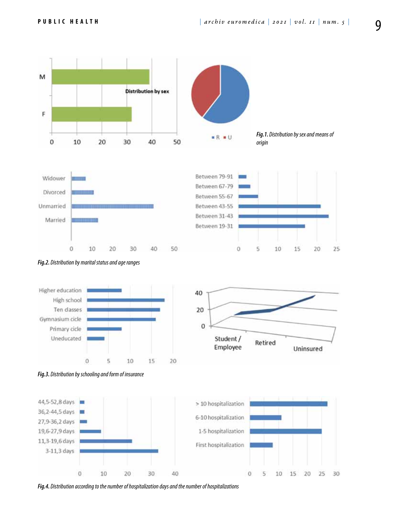

*Fig.4. Distribution according to the number of hospitalization days and the number of hospitalizations*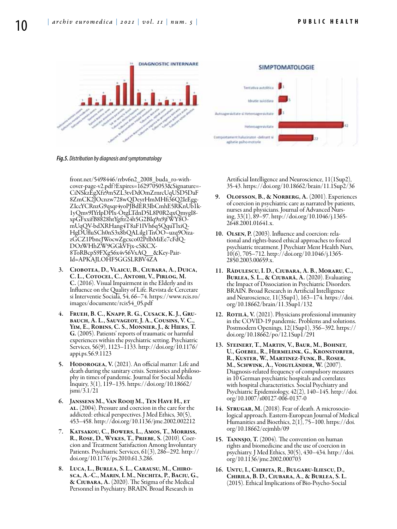

*Fig.5. Distribution by diagnosis and symptomatology*

front.net/5498446/rrbv6n2\_2008\_buda\_ro-withcover-page-v2.pdf ?Expires=1629705053&Signature=- CiNSkzEgXfz9m5ZL3tvDdOmZrnrcUqUSD5DaF 8ZmCK2JOcnzw728wQDeyrHmMHfi36Q2IeEgg-ZIccYCRnzG9qsqr4yoPJBdER3IbCmhE5RKnUb1k-1yQmv9IYrIpDPlx-OtgLTdnD5L8P0R2qxQmygI8 xpGFxxifB8828htYgftr24h5G2BIq9n9jf WY8OmUqQV-bdXRHang4T8aF1IVh6q5QquTlxiQ-HgDUfluSCh0nS3x8bQALilg1TnOO~uzq9OizazGCZ1PbncJWocwZgcxco02PtlbMiEe7cFdQ-DOzWHhZW9GGkVFjx-cSKCX-8ToRBcpS9FXg56x4v56VxAQ\_\_&Key-Pair-Id=APKAJLOHF5GGSLRBV4ZA

- 3. Ciobotea, D., Vlaicu, B., Ciubara, A., Duica, C. L., Cotocel, C., Antohi, V., Pirlog, M. C. (2016). Visual Impairment in the Elderly and its Influence on the Quality of Life. Revista de Cercetare si Interventie Sociala, 54, 66–74. https://www.rcis.ro/ images/documente/rcis54\_05.pdf
- 4. Frueh, B. C., Knapp, R. G., Cusack, K. J., Grubauch, A. L., Sauvageot, J. A., Cousins, V. C., Yim, E., Robins, C. S., Monnier, J., & Hiers, T. G. (2005). Patients' reports of traumatic or harmful experiences within the psychiatric setting. Psychiatric Services, 56(9), 1123–1133. http://doi.org/10.1176/ appi.ps.56.9.1123
- 5. HODOROGEA, V. (2021). An official matter: Life and death during the sanitary crisis. Semiotics and philosophy in times of pandemic. Journal for Social Media Inquiry, 3(1), 119–135. https://doi.org/10.18662/ jsmi/3.1/21
- 6. Janssens M., Van Rooij M., Ten Have H., et AL. (2004). Pressure and coercion in the care for the addicted: ethical perspectives. J Med Ethics, 30(5), 453–458. http://doi.org/10.1136/jme.2002.002212
- 7. Katsakou, C., Bowers, L., Amos, T., Morriss, R., ROSE, D., WYKES, T., PRIEBE, S. (2010). Coer-<br>cion and Treatment Satisfaction Among Involuntary Patients. Psychiatric Services, 61(3), 286–292. http:// doi.org/10.1176/ps.2010.61.3.286.
- 8. Luca, L., Burlea, S. L., Carausu, M., Chiro- sca, A.-C., Marin, I. M., Nechita, P., Baciu, G., & Ciubara, A. (2020). The Stigma of the Medical Personnel in Psychiatry. BRAIN. Broad Research in

Artificial Intelligence and Neuroscience, 11(1Sup2), 35-43. https://doi.org/10.18662/brain/11.1Sup2/36

- 9. OLOFSSON, B., & NORBERG, A. (2001). Experiences of coercion in psychiatric care as narrated by patients, nurses and physicians. Journal of Advanced Nursing, 33(1), 89–97. http://doi.org/10.1046/j.1365- 2648.2001.01641.x.
- 10. Olsen, P. (2003). Influence and coercion: relational and rights-based ethical approaches to forced psychiatric treatment. J Psychiatr Ment Health Nurs, 10(6), 705–712. http://doi.org/10.1046/j.1365- 2850.2003.00659.x.
- 11. Rădulescu, I. D., Ciubara, A. B., Moraru, C., Burlea, S. L., & Ciubară, A. (2020). Evaluating the Impact of Dissociation in Psychiatric Disorders. BRAIN. Broad Research in Artificial Intelligence and Neuroscience, 11(3Sup1), 163–174. https://doi. org/10.18662/brain/11.3Sup1/132
- 12. ROTILĂ, V. (2021). Physicians professional immunity in the COVID-19 pandemic. Problems and solutions. Postmodern Openings, 12(1Sup1), 356–392. https:// doi.org/10.18662/po/12.1Sup1/291
- 13. Steinert, T., Martin, V., Baur, M., Bohnet, U., Goebel, R., Hermelink, G., Kronstorfer, R., Kuster, W., Martinez-Funk, B., Roser, M., Schwink, A., Voigtländer, W. (2007). Diagnosis-related frequency of compulsory measures in 10 German psychiatric hospitals and correlates with hospital characteristics. Social Psychiatry and Psychiatric Epidemiology, 42(2), 140–145. http://doi. org/10.1007/s00127-006-0137-0
- 14. Strugar, M. (2018). Fear of death. A microsociological approach. Eastern-European Journal of Medical Humanities and Bioethics, 2(1), 75–100. https://doi. org/10.18662/eejmhb/09
- 15. Tannsjo, T. (2004). The convention on human rights and biomedicine and the use of coercion in psychiatry. J Med Ethics, 30(5), 430–434. http://doi. org/10.1136/jme.2002.000703
- 16. Untu, I., Chirita, R., Bulgaru-Iliescu, D., Chirila, B. D., Ciubara, A., & Burlea, S. L. (2015). Ethical Implications of Bio-Psycho-Social